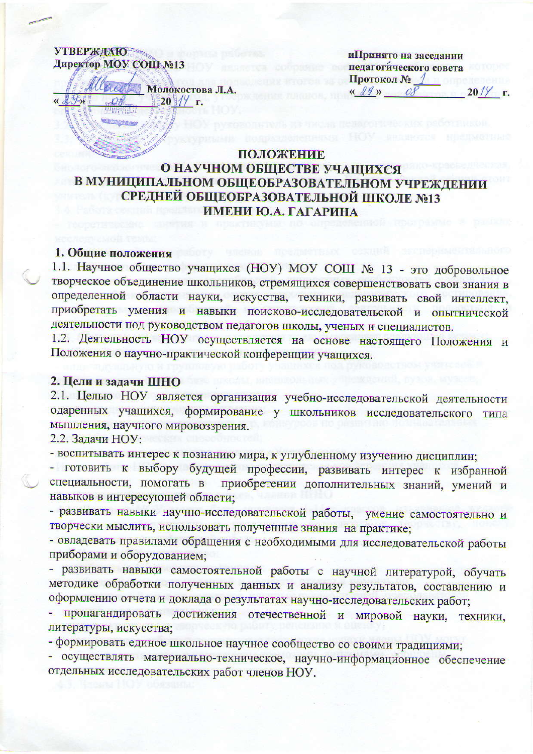**УТВЕРЖДАЮ** Директор МОУ СОШ №13



иПринято на заседании педагогического совета Протокол №  $\frac{d}{dx}$  $20\frac{1}{7}$  r.

### ПОЛОЖЕНИЕ О НАУЧНОМ ОБЩЕСТВЕ УЧАЩИХСЯ В МУНИЦИПАЛЬНОМ ОБЩЕОБРАЗОВАТЕЛЬНОМ УЧРЕЖДЕНИИ СРЕДНЕЙ ОБЩЕОБРАЗОВАТЕЛЬНОЙ ШКОЛЕ №13 ИМЕНИ Ю.А. ГАГАРИНА

#### 1. Общие положения

1.1. Научное общество учащихся (НОУ) МОУ СОШ № 13 - это добровольное творческое объединение школьников, стремящихся совершенствовать свои знания в определенной области науки, искусства, техники, развивать свой интеллект, приобретать умения и навыки поисково-исследовательской и опытнической деятельности под руководством педагогов школы, ученых и специалистов.

1.2. Деятельность НОУ осуществляется на основе настоящего Положения и Положения о научно-практической конференции учащихся.

#### 2. Цели и задачи ШНО

2.1. Целью НОУ является организация учебно-исследовательской деятельности одаренных учащихся, формирование у школьников исследовательского типа мышления, научного мировоззрения.

2.2. Задачи НОУ:

- воспитывать интерес к познанию мира, к углубленному изучению дисциплин;

- готовить к выбору будущей профессии, развивать интерес к избранной специальности, помогать в приобретении дополнительных знаний, умений и навыков в интересующей области;

- развивать навыки научно-исследовательской работы, умение самостоятельно и творчески мыслить, использовать полученные знания на практике;

- овладевать правилами обращения с необходимыми для исследовательской работы приборами и оборудованием;

- развивать навыки самостоятельной работы с научной литературой, обучать методике обработки полученных данных и анализу результатов, составлению и оформлению отчета и доклада о результатах научно-исследовательских работ;

пропагандировать достижения отечественной и мировой науки, техники, литературы, искусства;

- формировать единое школьное научное сообщество со своими традициями;

- осуществлять материально-техническое, научно-информационное обеспечение отдельных исследовательских работ членов НОУ.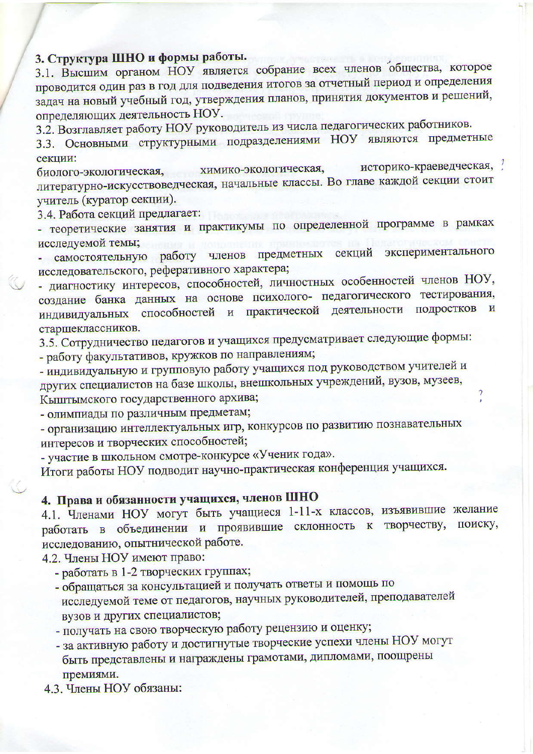## 3. Структура ШНО и формы работы.

3.1. Высшим органом НОУ является собрание всех членов общества, которое проводится один раз в год для подведения итогов за отчетный период и определения задач на новый учебный год, утверждения планов, принятия документов и решений, определяющих деятельность НОУ.

3.2. Возглавляет работу НОУ руководитель из числа педагогических работников.

3.3. Основными структурными подразделениями НОУ являются предметные секции:

историко-краеведческая, ? химико-экологическая, биолого-экологическая, литературно-искусствоведческая, начальные классы. Во главе каждой секции стоит учитель (куратор секции).

3.4. Работа секций предлагает:

- теоретические занятия и практикумы по определенной программе в рамках исследуемой темы;

самостоятельную работу членов предметных секций экспериментального исследовательского, реферативного характера;

- диагностику интересов, способностей, личностных особенностей членов НОУ, создание банка данных на основе психолого- педагогического тестирования, индивидуальных способностей и практической деятельности подростков и старшеклассников.

3.5. Сотрудничество педагогов и учащихся предусматривает следующие формы: - работу факультативов, кружков по направлениям;

- индивидуальную и групповую работу учащихся под руководством учителей и других специалистов на базе школы, внешкольных учреждений, вузов, музеев, Кыштымского государственного архива;

- олимпиады по различным предметам;

- организацию интеллектуальных игр, конкурсов по развитию познавательных интересов и творческих способностей;

- участие в школьном смотре-конкурсе «Ученик года».

Итоги работы НОУ подводит научно-практическая конференция учащихся.

# 4. Права и обязанности учащихся, членов ШНО

4.1. Членами НОУ могут быть учащиеся 1-11-х классов, изъявившие желание работать в объединении и проявившие склонность к творчеству, поиску, исследованию, опытнической работе.

4.2. Члены НОУ имеют право:

- работать в 1-2 творческих группах;
- обращаться за консультацией и получать ответы и помощь по исследуемой теме от педагогов, научных руководителей, преподавателей вузов и других специалистов;
- получать на свою творческую работу рецензию и оценку;
- за активную работу и достигнутые творческие успехи члены НОУ могут быть представлены и награждены грамотами, дипломами, поощрены премиями.
- 4.3. Члены НОУ обязаны: